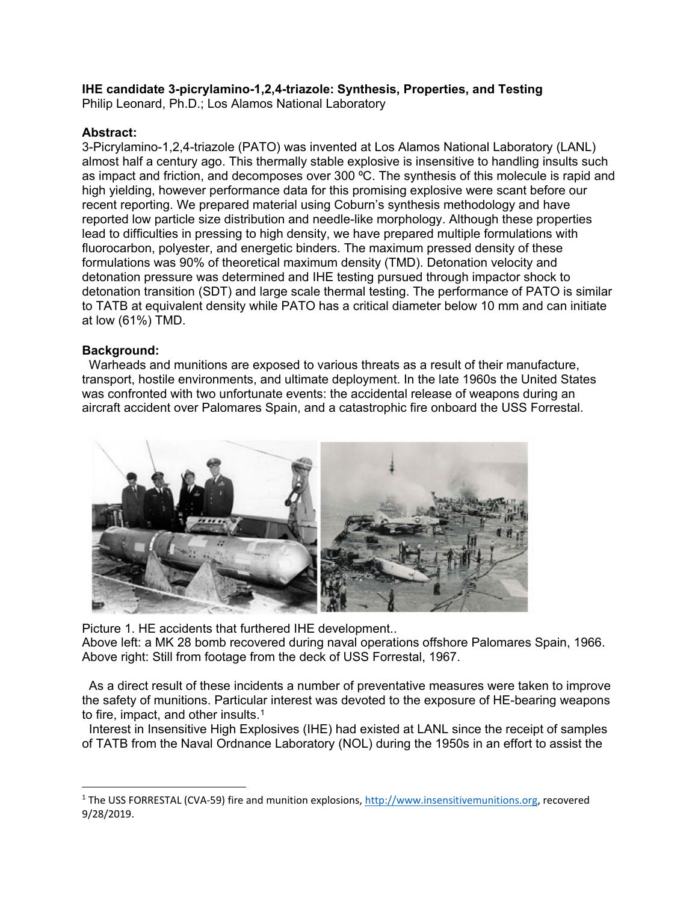# **IHE candidate 3-picrylamino-1,2,4-triazole: Synthesis, Properties, and Testing**

Philip Leonard, Ph.D.; Los Alamos National Laboratory

# **Abstract:**

3-Picrylamino-1,2,4-triazole (PATO) was invented at Los Alamos National Laboratory (LANL) almost half a century ago. This thermally stable explosive is insensitive to handling insults such as impact and friction, and decomposes over 300 °C. The synthesis of this molecule is rapid and high yielding, however performance data for this promising explosive were scant before our recent reporting. We prepared material using Coburn's synthesis methodology and have reported low particle size distribution and needle-like morphology. Although these properties lead to difficulties in pressing to high density, we have prepared multiple formulations with fluorocarbon, polyester, and energetic binders. The maximum pressed density of these formulations was 90% of theoretical maximum density (TMD). Detonation velocity and detonation pressure was determined and IHE testing pursued through impactor shock to detonation transition (SDT) and large scale thermal testing. The performance of PATO is similar to TATB at equivalent density while PATO has a critical diameter below 10 mm and can initiate at low (61%) TMD.

# **Background:**

 Warheads and munitions are exposed to various threats as a result of their manufacture, transport, hostile environments, and ultimate deployment. In the late 1960s the United States was confronted with two unfortunate events: the accidental release of weapons during an aircraft accident over Palomares Spain, and a catastrophic fire onboard the USS Forrestal.



Picture 1. HE accidents that furthered IHE development.. Above left: a MK 28 bomb recovered during naval operations offshore Palomares Spain, 1966. Above right: Still from footage from the deck of USS Forrestal, 1967.

 As a direct result of these incidents a number of preventative measures were taken to improve the safety of munitions. Particular interest was devoted to the exposure of HE-bearing weapons to fire, impact, and other insults.<sup>[1](#page-0-0)</sup>

 Interest in Insensitive High Explosives (IHE) had existed at LANL since the receipt of samples of TATB from the Naval Ordnance Laboratory (NOL) during the 1950s in an effort to assist the

<span id="page-0-0"></span> <sup>1</sup> The USS FORRESTAL (CVA-59) fire and munition explosions, [http://www.insensitivemunitions.org,](http://www.insensitivemunitions.org/) recovered 9/28/2019.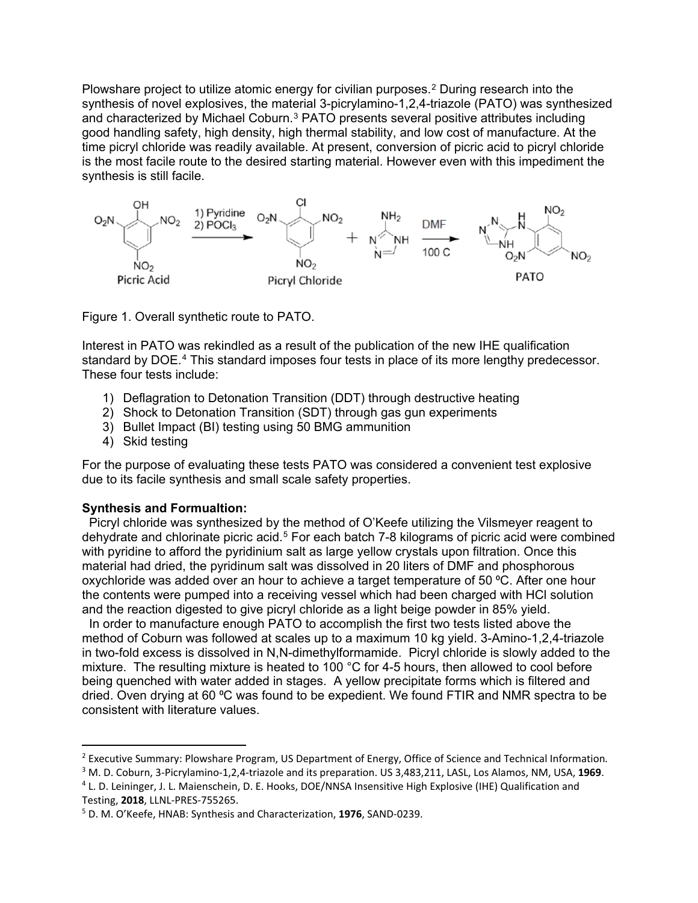Plowshare project to utilize atomic energy for civilian purposes.[2](#page-1-0) During research into the synthesis of novel explosives, the material 3-picrylamino-1,2,4-triazole (PATO) was synthesized and characterized by Michael Coburn.<sup>[3](#page-1-1)</sup> PATO presents several positive attributes including good handling safety, high density, high thermal stability, and low cost of manufacture. At the time picryl chloride was readily available. At present, conversion of picric acid to picryl chloride is the most facile route to the desired starting material. However even with this impediment the synthesis is still facile.



Figure 1. Overall synthetic route to PATO.

Interest in PATO was rekindled as a result of the publication of the new IHE qualification standard by DOE.[4](#page-1-2) This standard imposes four tests in place of its more lengthy predecessor. These four tests include:

- 1) Deflagration to Detonation Transition (DDT) through destructive heating
- 2) Shock to Detonation Transition (SDT) through gas gun experiments
- 3) Bullet Impact (BI) testing using 50 BMG ammunition
- 4) Skid testing

For the purpose of evaluating these tests PATO was considered a convenient test explosive due to its facile synthesis and small scale safety properties.

# **Synthesis and Formualtion:**

 Picryl chloride was synthesized by the method of O'Keefe utilizing the Vilsmeyer reagent to dehydrate and chlorinate picric acid.[5](#page-1-3) For each batch 7-8 kilograms of picric acid were combined with pyridine to afford the pyridinium salt as large yellow crystals upon filtration. Once this material had dried, the pyridinum salt was dissolved in 20 liters of DMF and phosphorous oxychloride was added over an hour to achieve a target temperature of 50 °C. After one hour the contents were pumped into a receiving vessel which had been charged with HCl solution and the reaction digested to give picryl chloride as a light beige powder in 85% yield.

 In order to manufacture enough PATO to accomplish the first two tests listed above the method of Coburn was followed at scales up to a maximum 10 kg yield. 3-Amino-1,2,4-triazole in two-fold excess is dissolved in N,N-dimethylformamide. Picryl chloride is slowly added to the mixture. The resulting mixture is heated to 100 °C for 4-5 hours, then allowed to cool before being quenched with water added in stages. A yellow precipitate forms which is filtered and dried. Oven drying at 60 °C was found to be expedient. We found FTIR and NMR spectra to be consistent with literature values.

<span id="page-1-0"></span> <sup>2</sup> Executive Summary: Plowshare Program, US Department of Energy, Office of Science and Technical Information*.*

<span id="page-1-1"></span><sup>3</sup> M. D. Coburn, 3-Picrylamino-1,2,4-triazole and its preparation. US 3,483,211, LASL, Los Alamos, NM, USA, **1969**.

<span id="page-1-2"></span><sup>4</sup> L. D. Leininger, J. L. Maienschein, D. E. Hooks, DOE/NNSA Insensitive High Explosive (IHE) Qualification and Testing, **2018**, LLNL-PRES-755265.

<span id="page-1-3"></span><sup>5</sup> D. M. O'Keefe, HNAB: Synthesis and Characterization, **1976**, SAND-0239.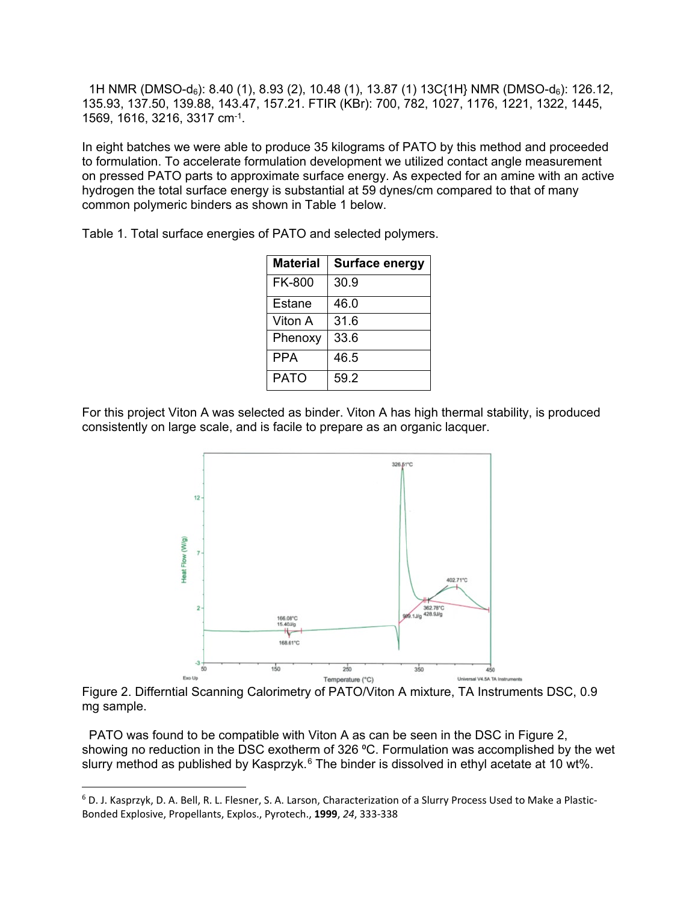1H NMR (DMSO-d6): 8.40 (1), 8.93 (2), 10.48 (1), 13.87 (1) 13C{1H} NMR (DMSO-d6): 126.12, 135.93, 137.50, 139.88, 143.47, 157.21. FTIR (KBr): 700, 782, 1027, 1176, 1221, 1322, 1445, 1569, 1616, 3216, 3317 cm-1.

In eight batches we were able to produce 35 kilograms of PATO by this method and proceeded to formulation. To accelerate formulation development we utilized contact angle measurement on pressed PATO parts to approximate surface energy. As expected for an amine with an active hydrogen the total surface energy is substantial at 59 dynes/cm compared to that of many common polymeric binders as shown in Table 1 below.

Table 1. Total surface energies of PATO and selected polymers.

| <b>Material</b> | Surface energy |
|-----------------|----------------|
| <b>FK-800</b>   | 30.9           |
| Estane          | 46.0           |
| Viton A         | 31.6           |
| Phenoxy         | 33.6           |
| <b>PPA</b>      | 46.5           |
| <b>PATO</b>     | 59.2           |

For this project Viton A was selected as binder. Viton A has high thermal stability, is produced consistently on large scale, and is facile to prepare as an organic lacquer.



Figure 2. Differntial Scanning Calorimetry of PATO/Viton A mixture, TA Instruments DSC, 0.9 mg sample.

 PATO was found to be compatible with Viton A as can be seen in the DSC in Figure 2, showing no reduction in the DSC exotherm of 326 °C. Formulation was accomplished by the wet slurry method as published by Kasprzyk.<sup>[6](#page-2-0)</sup> The binder is dissolved in ethyl acetate at 10 wt%.

<span id="page-2-0"></span> <sup>6</sup> D. J. Kasprzyk, D. A. Bell, R. L. Flesner, S. A. Larson, Characterization of a Slurry Process Used to Make a Plastic-Bonded Explosive, Propellants, Explos., Pyrotech., **1999**, *24*, 333-338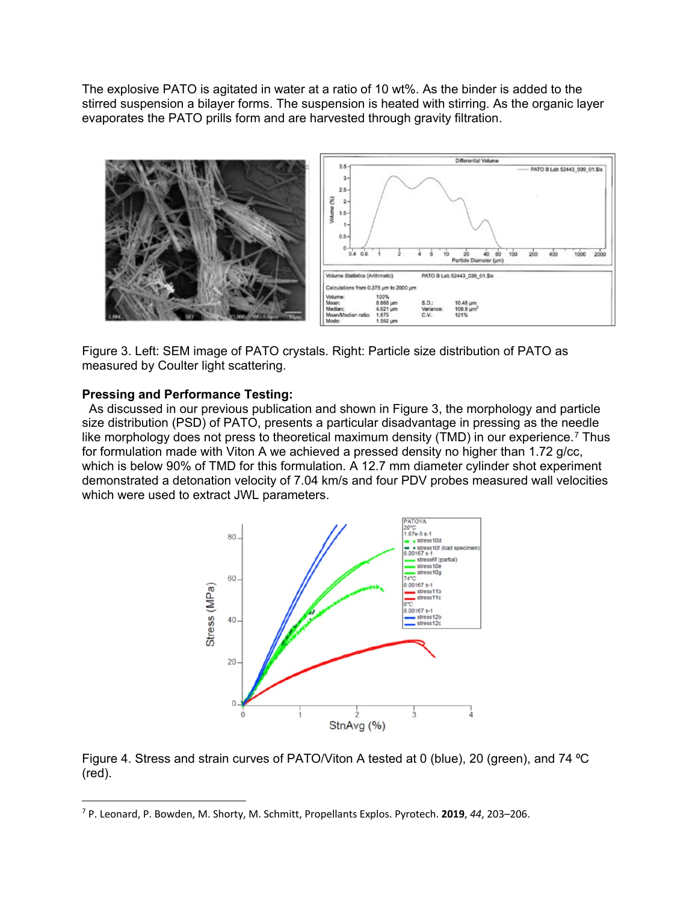The explosive PATO is agitated in water at a ratio of 10 wt%. As the binder is added to the stirred suspension a bilayer forms. The suspension is heated with stirring. As the organic layer evaporates the PATO prills form and are harvested through gravity filtration.



Figure 3. Left: SEM image of PATO crystals. Right: Particle size distribution of PATO as measured by Coulter light scattering.

#### **Pressing and Performance Testing:**

 As discussed in our previous publication and shown in Figure 3, the morphology and particle size distribution (PSD) of PATO, presents a particular disadvantage in pressing as the needle like morphology does not press to theoretical maximum density (TMD) in our experience.<sup>[7](#page-3-0)</sup> Thus for formulation made with Viton A we achieved a pressed density no higher than 1.72 g/cc, which is below 90% of TMD for this formulation. A 12.7 mm diameter cylinder shot experiment demonstrated a detonation velocity of 7.04 km/s and four PDV probes measured wall velocities which were used to extract JWL parameters.



Figure 4. Stress and strain curves of PATO/Viton A tested at 0 (blue), 20 (green), and 74 °C (red).

<span id="page-3-0"></span> <sup>7</sup> P. Leonard, P. Bowden, M. Shorty, M. Schmitt, Propellants Explos. Pyrotech. **2019**, *44*, 203–206.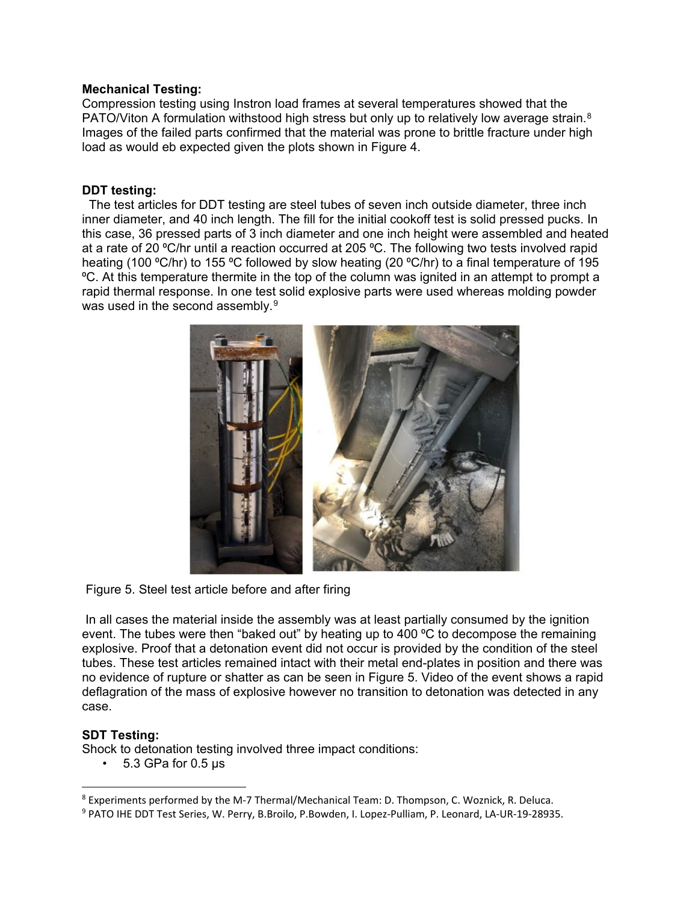## **Mechanical Testing:**

Compression testing using Instron load frames at several temperatures showed that the PATO/Viton A formulation withstood high stress but only up to relatively low average strain.<sup>[8](#page-4-0)</sup> Images of the failed parts confirmed that the material was prone to brittle fracture under high load as would eb expected given the plots shown in Figure 4.

### **DDT testing:**

 The test articles for DDT testing are steel tubes of seven inch outside diameter, three inch inner diameter, and 40 inch length. The fill for the initial cookoff test is solid pressed pucks. In this case, 36 pressed parts of 3 inch diameter and one inch height were assembled and heated at a rate of 20 °C/hr until a reaction occurred at 205 °C. The following two tests involved rapid heating (100 °C/hr) to 155 °C followed by slow heating (20 °C/hr) to a final temperature of 195 ⁰C. At this temperature thermite in the top of the column was ignited in an attempt to prompt a rapid thermal response. In one test solid explosive parts were used whereas molding powder was used in the second assembly.<sup>[9](#page-4-1)</sup>



Figure 5. Steel test article before and after firing

In all cases the material inside the assembly was at least partially consumed by the ignition event. The tubes were then "baked out" by heating up to 400 °C to decompose the remaining explosive. Proof that a detonation event did not occur is provided by the condition of the steel tubes. These test articles remained intact with their metal end-plates in position and there was no evidence of rupture or shatter as can be seen in Figure 5. Video of the event shows a rapid deflagration of the mass of explosive however no transition to detonation was detected in any case.

# **SDT Testing:**

Shock to detonation testing involved three impact conditions:

• 5.3 GPa for 0.5 μs

<span id="page-4-0"></span> <sup>8</sup> Experiments performed by the M-7 Thermal/Mechanical Team: D. Thompson, C. Woznick, R. Deluca.

<span id="page-4-1"></span><sup>9</sup> PATO IHE DDT Test Series, W. Perry, B.Broilo, P.Bowden, I. Lopez-Pulliam, P. Leonard, LA-UR-19-28935.